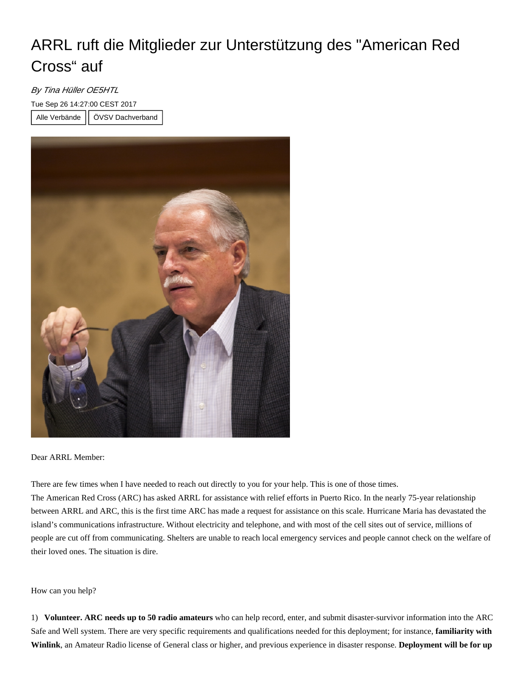## ARRL ruft die Mitglieder zur Unterstützung des "American Red Cross" auf

## By Tina Hüller OE5HTL

Tue Sep 26 14:27:00 CEST 2017

Alle Verbände | ÖVSV Dachverband



Dear ARRL Member:

There are few times when I have needed to reach out directly to you for your help. This is one of those times.

The American Red Cross (ARC) has asked ARRL for assistance with relief efforts in Puerto Rico. In the nearly 75-year relationship between ARRL and ARC, this is the first time ARC has made a request for assistance on this scale. Hurricane Maria has devastated the island's communications infrastructure. Without electricity and telephone, and with most of the cell sites out of service, millions of people are cut off from communicating. Shelters are unable to reach local emergency services and people cannot check on the welfare of their loved ones. The situation is dire.

## How can you help?

1) **Volunteer. ARC needs up to 50 radio amateurs** who can help record, enter, and submit disaster-survivor information into the ARC Safe and Well system. There are very specific requirements and qualifications needed for this deployment; for instance, **familiarity with Winlink**, an Amateur Radio license of General class or higher, and previous experience in disaster response. **Deployment will be for up**